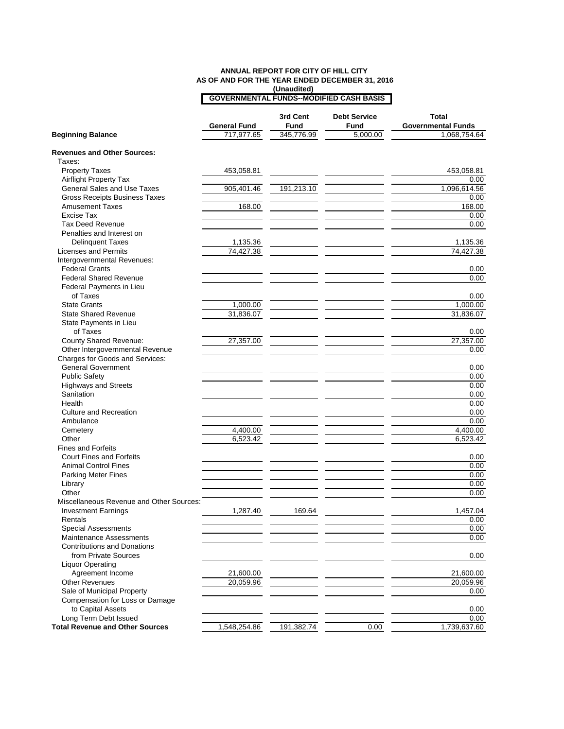## **(Unaudited) ANNUAL REPORT FOR CITY OF HILL CITY AS OF AND FOR THE YEAR ENDED DECEMBER 31, 2016 GOVERNMENTAL FUNDS--MODIFIED CASH BASIS**

|                                                      | <b>General Fund</b> | 3rd Cent<br>Fund | <b>Debt Service</b><br><b>Fund</b> | Total<br><b>Governmental Funds</b> |
|------------------------------------------------------|---------------------|------------------|------------------------------------|------------------------------------|
| <b>Beginning Balance</b>                             | 717,977.65          | 345,776.99       | 5,000.00                           | 1,068,754.64                       |
| <b>Revenues and Other Sources:</b>                   |                     |                  |                                    |                                    |
| Taxes:                                               |                     |                  |                                    |                                    |
| <b>Property Taxes</b>                                | 453,058.81          |                  |                                    | 453,058.81                         |
| Airflight Property Tax                               |                     |                  |                                    | 0.00                               |
| <b>General Sales and Use Taxes</b>                   | 905,401.46          | 191,213.10       |                                    | 1,096,614.56                       |
| <b>Gross Receipts Business Taxes</b>                 |                     |                  |                                    | 0.00                               |
| <b>Amusement Taxes</b>                               | 168.00              |                  |                                    | 168.00                             |
| Excise Tax                                           |                     |                  |                                    | 0.00                               |
| <b>Tax Deed Revenue</b>                              |                     |                  |                                    | 0.00                               |
| Penalties and Interest on                            |                     |                  |                                    |                                    |
| <b>Delinquent Taxes</b>                              | 1,135.36            |                  |                                    | 1,135.36                           |
| <b>Licenses and Permits</b>                          | 74,427.38           |                  |                                    | 74,427.38                          |
| Intergovernmental Revenues:                          |                     |                  |                                    |                                    |
| <b>Federal Grants</b>                                |                     |                  |                                    | 0.00                               |
| <b>Federal Shared Revenue</b>                        |                     |                  |                                    | 0.00                               |
| Federal Payments in Lieu                             |                     |                  |                                    |                                    |
| of Taxes                                             |                     |                  |                                    | 0.00                               |
| <b>State Grants</b>                                  | 1,000.00            |                  |                                    | 1,000.00                           |
| <b>State Shared Revenue</b>                          | 31,836.07           |                  |                                    | 31,836.07                          |
| State Payments in Lieu                               |                     |                  |                                    |                                    |
| of Taxes                                             |                     |                  |                                    | 0.00                               |
| County Shared Revenue:                               | 27,357.00           |                  |                                    | 27,357.00                          |
| Other Intergovernmental Revenue                      |                     |                  |                                    | 0.00                               |
| Charges for Goods and Services:                      |                     |                  |                                    |                                    |
| <b>General Government</b>                            |                     |                  |                                    | 0.00                               |
| <b>Public Safety</b>                                 |                     |                  |                                    | 0.00                               |
| <b>Highways and Streets</b>                          |                     |                  |                                    | 0.00                               |
| Sanitation                                           |                     |                  |                                    | 0.00                               |
| Health                                               |                     |                  |                                    | 0.00                               |
| <b>Culture and Recreation</b>                        |                     |                  |                                    | 0.00                               |
| Ambulance                                            |                     |                  |                                    | 0.00                               |
| Cemetery                                             | 4,400.00            |                  |                                    | 4,400.00                           |
| Other                                                | 6,523.42            |                  |                                    | 6,523.42                           |
| <b>Fines and Forfeits</b>                            |                     |                  |                                    |                                    |
| <b>Court Fines and Forfeits</b>                      |                     |                  |                                    | 0.00                               |
| <b>Animal Control Fines</b>                          |                     |                  |                                    | 0.00                               |
| Parking Meter Fines                                  |                     |                  |                                    | 0.00                               |
| Library                                              |                     |                  |                                    | 0.00                               |
| Other                                                |                     |                  |                                    | 0.00                               |
| Miscellaneous Revenue and Other Sources:             |                     |                  |                                    |                                    |
| <b>Investment Earnings</b>                           | 1,287.40            | 169.64           |                                    | 1,457.04                           |
| Rentals                                              |                     |                  |                                    | 0.00                               |
| <b>Special Assessments</b>                           |                     |                  |                                    | 0.00                               |
| <b>Maintenance Assessments</b>                       |                     |                  |                                    | 0.00                               |
| <b>Contributions and Donations</b>                   |                     |                  |                                    |                                    |
| from Private Sources                                 |                     |                  |                                    |                                    |
|                                                      |                     |                  |                                    | 0.00                               |
| <b>Liquor Operating</b>                              |                     |                  |                                    |                                    |
| Agreement Income                                     | 21,600.00           |                  |                                    | 21,600.00                          |
| <b>Other Revenues</b>                                | 20,059.96           |                  |                                    | 20,059.96                          |
| Sale of Municipal Property                           |                     |                  |                                    | 0.00                               |
| Compensation for Loss or Damage<br>to Capital Assets |                     |                  |                                    |                                    |
|                                                      |                     |                  |                                    | 0.00                               |
| Long Term Debt Issued                                |                     |                  |                                    | 0.00<br>1,739,637.60               |
| <b>Total Revenue and Other Sources</b>               | 1,548,254.86        | 191,382.74       | 0.00                               |                                    |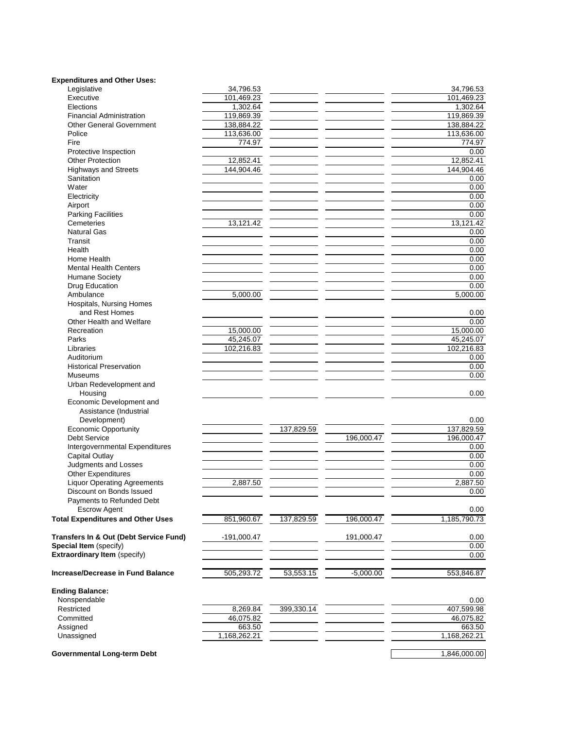| <b>Expenditures and Other Uses:</b>         |               |            |            |                    |
|---------------------------------------------|---------------|------------|------------|--------------------|
| Legislative                                 | 34,796.53     |            |            | 34,796.53          |
| Executive                                   | 101,469.23    |            |            | 101,469.23         |
| Elections                                   | 1,302.64      |            |            | 1,302.64           |
| <b>Financial Administration</b>             | 119,869.39    |            |            | 119,869.39         |
| <b>Other General Government</b>             | 138,884.22    |            |            | 138,884.22         |
| Police                                      | 113,636.00    |            |            | 113,636.00         |
| Fire                                        | 774.97        |            |            | 774.97             |
| Protective Inspection                       |               |            |            | 0.00               |
| <b>Other Protection</b>                     | 12,852.41     |            |            | 12,852.41          |
| <b>Highways and Streets</b>                 | 144,904.46    |            |            | 144.904.46         |
| Sanitation                                  |               |            |            | 0.00               |
| Water                                       |               |            |            | 0.00               |
| Electricity                                 |               |            |            | 0.00               |
| Airport                                     |               |            |            | 0.00               |
| <b>Parking Facilities</b>                   |               |            |            | 0.00               |
| Cemeteries                                  | 13,121.42     |            |            | 13,121.42          |
| <b>Natural Gas</b>                          |               |            |            | 0.00               |
| Transit                                     |               |            |            | 0.00               |
| Health                                      |               |            |            | 0.00               |
| Home Health<br><b>Mental Health Centers</b> |               |            |            | 0.00               |
|                                             |               |            |            | 0.00               |
| <b>Humane Society</b>                       |               |            |            | 0.00<br>0.00       |
| Drug Education<br>Ambulance                 | 5,000.00      |            |            | 5,000.00           |
| Hospitals, Nursing Homes                    |               |            |            |                    |
| and Rest Homes                              |               |            |            | 0.00               |
| Other Health and Welfare                    |               |            |            | 0.00               |
| Recreation                                  | 15,000.00     |            |            | 15,000.00          |
| Parks                                       | 45,245.07     |            |            | 45,245.07          |
| Libraries                                   | 102,216.83    |            |            | 102,216.83         |
| Auditorium                                  |               |            |            | 0.00               |
| <b>Historical Preservation</b>              |               |            |            | 0.00               |
| Museums                                     |               |            |            | 0.00               |
| Urban Redevelopment and                     |               |            |            |                    |
| Housing                                     |               |            |            | 0.00               |
| Economic Development and                    |               |            |            |                    |
| Assistance (Industrial                      |               |            |            |                    |
| Development)                                |               |            |            | 0.00               |
| <b>Economic Opportunity</b>                 |               | 137,829.59 |            | 137,829.59         |
| <b>Debt Service</b>                         |               |            | 196,000.47 | 196,000.47         |
| Intergovernmental Expenditures              |               |            |            | 0.00               |
| <b>Capital Outlay</b>                       |               |            |            | 0.00               |
| Judgments and Losses                        |               |            |            | 0.00               |
| <b>Other Expenditures</b>                   |               |            |            | 0.00               |
| <b>Liquor Operating Agreements</b>          | 2,887.50      |            |            | 2,887.50           |
| Discount on Bonds Issued                    |               |            |            | 0.00               |
| Payments to Refunded Debt                   |               |            |            |                    |
| <b>Escrow Agent</b>                         |               |            |            | 0.00               |
| <b>Total Expenditures and Other Uses</b>    | 851,960.67    | 137,829.59 | 196,000.47 | 1,185,790.73       |
|                                             |               |            |            |                    |
| Transfers In & Out (Debt Service Fund)      | $-191,000.47$ |            | 191,000.47 | 0.00               |
| Special Item (specify)                      |               |            |            | 0.00               |
| <b>Extraordinary Item (specify)</b>         |               |            |            | 0.00               |
|                                             |               |            |            |                    |
| <b>Increase/Decrease in Fund Balance</b>    | 505,293.72    | 53,553.15  | -5,000.00  | 553,846.87         |
| <b>Ending Balance:</b>                      |               |            |            |                    |
|                                             |               |            |            |                    |
| Nonspendable<br>Restricted                  | 8,269.84      | 399,330.14 |            | 0.00<br>407,599.98 |
| Committed                                   | 46,075.82     |            |            | 46,075.82          |
| Assigned                                    | 663.50        |            |            | 663.50             |
| Unassigned                                  | 1,168,262.21  |            |            | 1,168,262.21       |
|                                             |               |            |            |                    |
| Governmental Long-term Debt                 |               |            |            | 1,846,000.00       |
|                                             |               |            |            |                    |